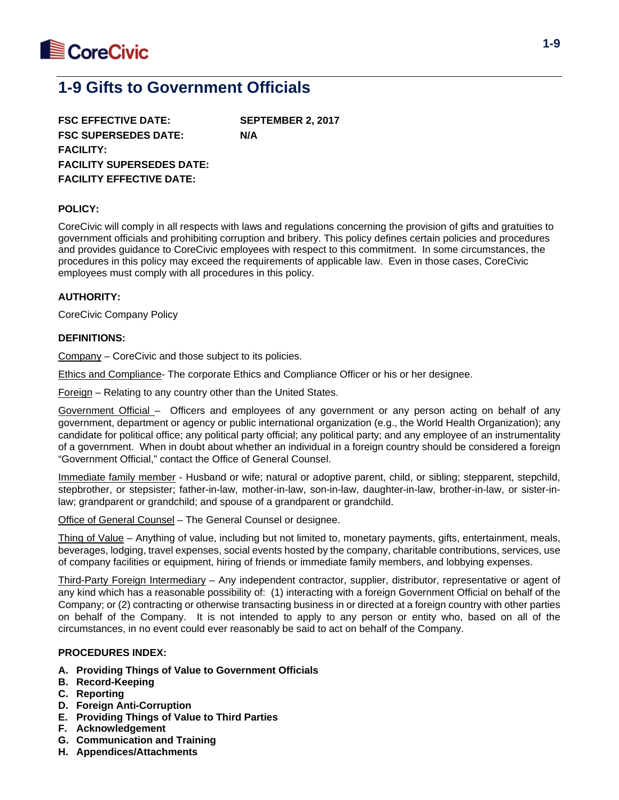

# **1-9 Gifts to Government Officials**

**FSC EFFECTIVE DATE: SEPTEMBER 2, 2017 FSC SUPERSEDES DATE: N/A FACILITY: FACILITY SUPERSEDES DATE: FACILITY EFFECTIVE DATE:**

#### **POLICY:**

CoreCivic will comply in all respects with laws and regulations concerning the provision of gifts and gratuities to government officials and prohibiting corruption and bribery. This policy defines certain policies and procedures and provides guidance to CoreCivic employees with respect to this commitment. In some circumstances, the procedures in this policy may exceed the requirements of applicable law. Even in those cases, CoreCivic employees must comply with all procedures in this policy.

## **AUTHORITY:**

CoreCivic Company Policy

#### **DEFINITIONS:**

Company – CoreCivic and those subject to its policies.

Ethics and Compliance- The corporate Ethics and Compliance Officer or his or her designee.

Foreign – Relating to any country other than the United States.

Government Official – Officers and employees of any government or any person acting on behalf of any government, department or agency or public international organization (e.g., the World Health Organization); any candidate for political office; any political party official; any political party; and any employee of an instrumentality of a government. When in doubt about whether an individual in a foreign country should be considered a foreign "Government Official," contact the Office of General Counsel.

Immediate family member - Husband or wife; natural or adoptive parent, child, or sibling; stepparent, stepchild, stepbrother, or stepsister; father-in-law, mother-in-law, son-in-law, daughter-in-law, brother-in-law, or sister-inlaw; grandparent or grandchild; and spouse of a grandparent or grandchild.

Office of General Counsel – The General Counsel or designee.

Thing of Value – Anything of value, including but not limited to, monetary payments, gifts, entertainment, meals, beverages, lodging, travel expenses, social events hosted by the company, charitable contributions, services, use of company facilities or equipment, hiring of friends or immediate family members, and lobbying expenses.

Third-Party Foreign Intermediary – Any independent contractor, supplier, distributor, representative or agent of any kind which has a reasonable possibility of: (1) interacting with a foreign Government Official on behalf of the Company; or (2) contracting or otherwise transacting business in or directed at a foreign country with other parties on behalf of the Company. It is not intended to apply to any person or entity who, based on all of the circumstances, in no event could ever reasonably be said to act on behalf of the Company.

#### **PROCEDURES INDEX:**

- **A. Providing Things of Value to Government Officials**
- **B. Record-Keeping**
- **C. Reporting**
- **D. Foreign Anti-Corruption**
- **E. Providing Things of Value to Third Parties**
- **F. Acknowledgement**
- **G. Communication and Training**
- **H. Appendices/Attachments**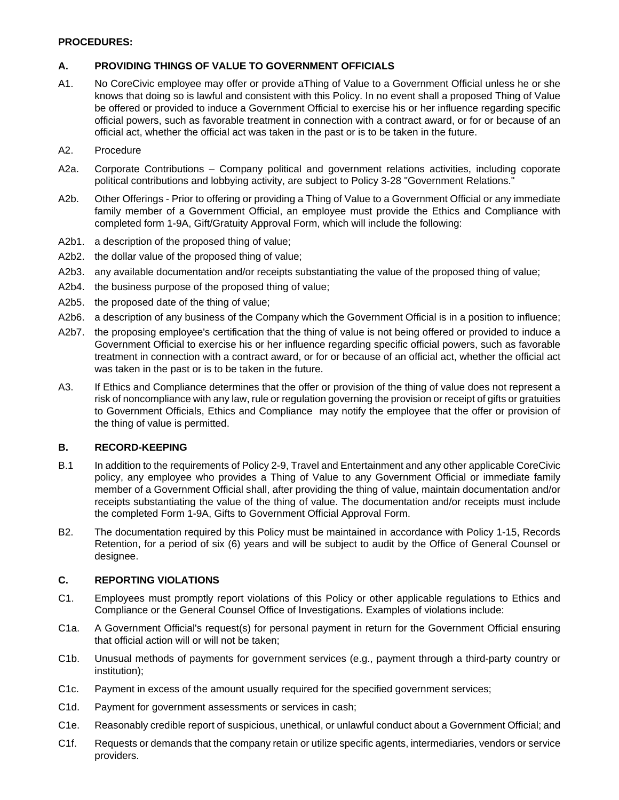## **PROCEDURES:**

# **A. PROVIDING THINGS OF VALUE TO GOVERNMENT OFFICIALS**

- A1. No CoreCivic employee may offer or provide aThing of Value to a Government Official unless he or she knows that doing so is lawful and consistent with this Policy. In no event shall a proposed Thing of Value be offered or provided to induce a Government Official to exercise his or her influence regarding specific official powers, such as favorable treatment in connection with a contract award, or for or because of an official act, whether the official act was taken in the past or is to be taken in the future.
- A2. Procedure
- A2a. Corporate Contributions Company political and government relations activities, including coporate political contributions and lobbying activity, are subject to Policy 3-28 "Government Relations."
- A2b. Other Offerings Prior to offering or providing a Thing of Value to a Government Official or any immediate family member of a Government Official, an employee must provide the Ethics and Compliance with completed form 1-9A, Gift/Gratuity Approval Form, which will include the following:
- A2b1. a description of the proposed thing of value;
- A2b2. the dollar value of the proposed thing of value;
- A2b3. any available documentation and/or receipts substantiating the value of the proposed thing of value;
- A2b4. the business purpose of the proposed thing of value;
- A2b5. the proposed date of the thing of value;
- A2b6. a description of any business of the Company which the Government Official is in a position to influence;
- A2b7. the proposing employee's certification that the thing of value is not being offered or provided to induce a Government Official to exercise his or her influence regarding specific official powers, such as favorable treatment in connection with a contract award, or for or because of an official act, whether the official act was taken in the past or is to be taken in the future.
- A3. If Ethics and Compliance determines that the offer or provision of the thing of value does not represent a risk of noncompliance with any law, rule or regulation governing the provision or receipt of gifts or gratuities to Government Officials, Ethics and Compliance may notify the employee that the offer or provision of the thing of value is permitted.

# **B. RECORD-KEEPING**

- B.1 In addition to the requirements of Policy 2-9, Travel and Entertainment and any other applicable CoreCivic policy, any employee who provides a Thing of Value to any Government Official or immediate family member of a Government Official shall, after providing the thing of value, maintain documentation and/or receipts substantiating the value of the thing of value. The documentation and/or receipts must include the completed Form 1-9A, Gifts to Government Official Approval Form.
- B2. The documentation required by this Policy must be maintained in accordance with Policy 1-15, Records Retention, for a period of six (6) years and will be subject to audit by the Office of General Counsel or designee.

# **C. REPORTING VIOLATIONS**

- C1. Employees must promptly report violations of this Policy or other applicable regulations to Ethics and Compliance or the General Counsel Office of Investigations. Examples of violations include:
- C1a. A Government Official's request(s) for personal payment in return for the Government Official ensuring that official action will or will not be taken;
- C1b. Unusual methods of payments for government services (e.g., payment through a third-party country or institution);
- C1c. Payment in excess of the amount usually required for the specified government services;
- C1d. Payment for government assessments or services in cash;
- C1e. Reasonably credible report of suspicious, unethical, or unlawful conduct about a Government Official; and
- C1f. Requests or demands that the company retain or utilize specific agents, intermediaries, vendors or service providers.